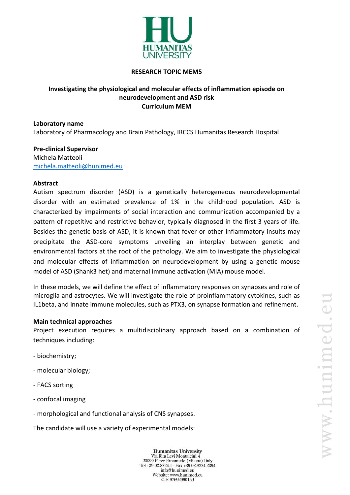

### **RESEARCH TOPIC MEM5**

# **Investigating the physiological and molecular effects of inflammation episode on neurodevelopment and ASD risk Curriculum MEM**

**Laboratory name** Laboratory of Pharmacology and Brain Pathology, IRCCS Humanitas Research Hospital

**Pre-clinical Supervisor** Michela Matteoli [michela.matteoli@hunimed.eu](mailto:michela.matteoli@hunimed.eu)

### **Abstract**

Autism spectrum disorder (ASD) is a genetically heterogeneous neurodevelopmental disorder with an estimated prevalence of 1% in the childhood population. ASD is characterized by impairments of social interaction and communication accompanied by a pattern of repetitive and restrictive behavior, typically diagnosed in the first 3 years of life. Besides the genetic basis of ASD, it is known that fever or other inflammatory insults may precipitate the ASD-core symptoms unveiling an interplay between genetic and environmental factors at the root of the pathology. We aim to investigate the physiological and molecular effects of inflammation on neurodevelopment by using a genetic mouse model of ASD (Shank3 het) and maternal immune activation (MIA) mouse model.

In these models, we will define the effect of inflammatory responses on synapses and role of microglia and astrocytes. We will investigate the role of proinflammatory cytokines, such as IL1beta, and innate immune molecules, such as PTX3, on synapse formation and refinement.

### **Main technical approaches**

Project execution requires a multidisciplinary approach based on a combination of techniques including:

- biochemistry;
- molecular biology;
- FACS sorting
- confocal imaging
- morphological and functional analysis of CNS synapses.

The candidate will use a variety of experimental models:

**Humanitas University** Via Rita Levi Montalcini 4 20090 Pieve Emanuele (Milano) Italy Tel +39.02.8224.1 - Fax +39.02.8224.2394 info@hunimed.eu Website: www.hunimed.eu C.F. 97692990159